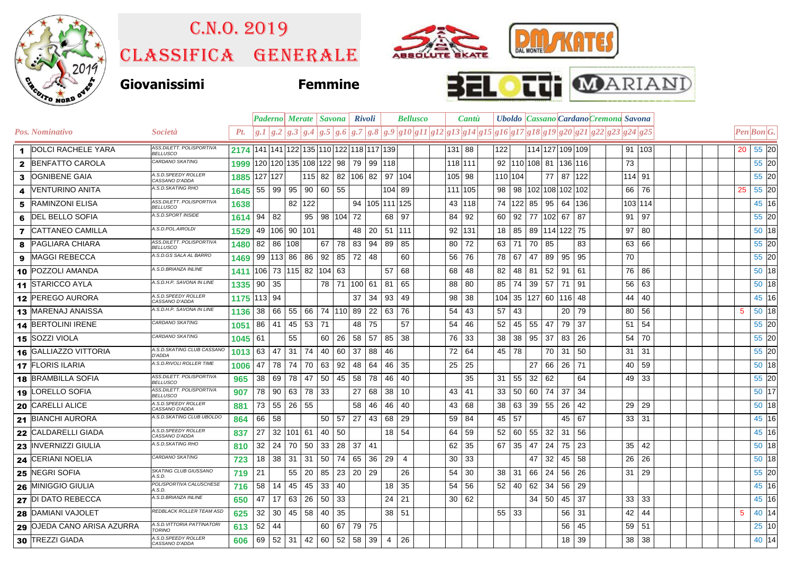

## C.n.o. 2019

Classifica generale







|              |                            |                                              |      |         |     |                      |                       |          | <b>Paderno   Merate   Savona   Rivoli</b>        |                 |                      |                | <b>Bellusco</b> |        | Cantu    |              |         |                      |       | Uboldo Cassano Cardano Cremona Savona                                                                 |              |  |    |                                                                         |         |
|--------------|----------------------------|----------------------------------------------|------|---------|-----|----------------------|-----------------------|----------|--------------------------------------------------|-----------------|----------------------|----------------|-----------------|--------|----------|--------------|---------|----------------------|-------|-------------------------------------------------------------------------------------------------------|--------------|--|----|-------------------------------------------------------------------------|---------|
|              | <b>Pos. Nominativo</b>     | <i>Società</i>                               | Pt.  |         |     |                      |                       |          |                                                  |                 |                      |                |                 |        |          |              |         |                      |       | $g.1 g.2 g.3 g.4 g.5 g.6 g.7 g.8 g.9 g10 g11 g12 g13 g14 g15 g16 g17 g18 g19 g20 g21 g22 g23 g24 g25$ |              |  |    | $\left  Pen\right $ <i>Bon</i> <sup><math>\left  G.\right </math></sup> |         |
|              | 1 DOLCI RACHELE YARA       | ASS.DILETT. POLISPORTIVA<br><b>BELLUSCO</b>  |      |         |     |                      |                       |          | 2174 141 141 122 135 110 122 118 117 139         |                 |                      |                |                 | 131 88 |          | 122          |         |                      |       | 114 127 109 109                                                                                       | 91 103       |  |    | 20 55 20                                                                |         |
|              | 2 BENFATTO CAROLA          | CARDANO SKATING                              | 1999 |         |     |                      |                       |          | 120   120   135   108   122   98   79   99   118 |                 |                      |                |                 |        | 118 111  |              |         |                      |       | 92   110   108   81   136   116                                                                       | 73           |  |    |                                                                         | 55 20   |
| 3            | <b>OGNIBENE GAIA</b>       | A.S.D.SPEEDY ROLLER<br>CASSANO D'ADDA        | 1885 | 127 127 |     |                      |                       |          | 115 82 82 106 82 97 104                          |                 |                      |                |                 | 105 98 |          |              | 110 104 |                      |       | 77 87 122                                                                                             | 114 91       |  |    |                                                                         | 55 20   |
| 4            | IVENTURINO ANITA           | A.S.D.SKATING RHO                            | 1645 | 55 99   |     | 95                   | 90   60   55          |          |                                                  |                 |                      | $104$ 89       |                 |        | 111 105  | 98           |         |                      |       | 98   102   108   102   102                                                                            | 76<br>66     |  | 25 |                                                                         | 55 20   |
| 5            | <b>RAMINZONI ELISA</b>     | ASS.DILETT. POLISPORTIVA<br><b>BELLUSCO</b>  | 1638 |         |     | 82 122               |                       |          |                                                  |                 | 94   105   111   125 |                |                 |        | 43   118 |              |         |                      |       | 74   122   85   95   64   136                                                                         | 103 114      |  |    |                                                                         | 45 16   |
| 6            | <b>DEL BELLO SOFIA</b>     | A.S.D.SPORT INSIDE                           | 1614 | 94      | 82  |                      |                       |          | 95 98 104 72                                     |                 | 68                   | 97             |                 | 84     | 92       | 60           | 92      | 77 102 67            |       | 87                                                                                                    | 97<br>91     |  |    |                                                                         | 55 20   |
| $\mathbf{7}$ | <b>CATTANEO CAMILLA</b>    | A.S.D.POL.AIROLDI                            | 1529 |         |     | 49   106   90   101  |                       |          | 48                                               | 20 <sup>1</sup> |                      | 51 111         |                 | 92     | 131      | 18           |         | 85 89 114 122 75     |       |                                                                                                       | 97<br>80     |  |    |                                                                         | 50 18   |
| 8            | <b>PAGLIARA CHIARA</b>     | ASS.DILETT. POLISPORTIVA<br>BELLUSCO         | 1480 | 82      | 86  | 108                  |                       |          | $67$ 78 83                                       |                 | 94 89                | 85             |                 | 80     | 72       | 63           | 71      | 70 85                |       | 83                                                                                                    | 66<br>63     |  |    |                                                                         | 55 20   |
|              | 9 MAGGI REBECCA            | A.S.D.GS SALA AL BARRO                       | 1469 |         |     |                      |                       |          | 99   113   86   86   92   85   72                | 48              |                      | 60             |                 | 56     | 76       | 78           | 67      | 47                   | 89 95 | 95                                                                                                    | 70           |  |    |                                                                         | 55 20   |
|              | 10 POZZOLI AMANDA          | A.S.D.BRIANZA INLINE                         | 1411 |         |     | 106 73 115 82 104 63 |                       |          |                                                  |                 | 57                   | 68             |                 | 68     | 48       | 82           | 48      | 81 52                | 91    | 61                                                                                                    | 76<br>86     |  |    |                                                                         | 50 18   |
|              | 11 STARICCO AYLA           | A.S.D.H.P. SAVONA IN LINE                    | 1335 | 90      | 35  |                      |                       |          | 78 71 100                                        | 61              | 81                   | 65             |                 | 88     | 80       | 85           | 74      | 39 57 71             |       | 91                                                                                                    | 63<br>56     |  |    |                                                                         | 50 18   |
|              | 12 PEREGO AURORA           | A.S.D.SPEEDY ROLLER<br>CASSANO D'ADDA        | 1175 | 113 94  |     |                      |                       |          | 37                                               | 34              | 93                   | 49             |                 | 98     | 38       |              |         | 104 35 127 60 116 48 |       |                                                                                                       | 40<br>44     |  |    |                                                                         | 45 16   |
|              | 13 MARENAJ ANAISSA         | A.S.D.H.P. SAVONA IN LINE                    | 1136 | 38      | 66  | 55                   |                       |          | 66   74   110   89                               |                 | $22 \mid 63$         | -76            |                 | 54     | 43       | 57           | 43      |                      |       | 79<br>20                                                                                              | 56<br>80     |  | 5  |                                                                         | $50$ 18 |
|              | 14 BERTOLINI IRENE         | CARDANO SKATING                              | 1051 | 86      | 41  | 45                   | 53 71                 |          | 48                                               | 75              |                      | 57             |                 | 54     | 46       | 52           | 45      | 55 47                | 79    | 37                                                                                                    | 54<br>51     |  |    |                                                                         | 55 20   |
|              | 15 SOZZI VIOLA             | CARDANO SKATING                              | 1045 | 61      |     | 55                   |                       | 60 26    | 58                                               | 57              | 85                   | 38             |                 | 76     | 33       | 38           | 38      | $95 \mid 37$         | 83    | 26                                                                                                    | 70<br>54     |  |    |                                                                         | 55 20   |
|              | 16 GALLIAZZO VITTORIA      | A.S.D.SKATING CLUB CASSANO<br>D'ADDA         | 1013 | 63      | -47 | -31                  | 74 I<br>40            |          | 60<br>37                                         | 88              | 46                   |                |                 | 72     | 64       | 45           | -78     |                      | 70 31 | 50                                                                                                    | 31<br>31     |  |    |                                                                         | 55 20   |
|              | 17 FLORIS ILARIA           | A.S.D.RIVOLI ROLLER TIME                     | 1006 | 47      | 78  | 74                   | 70 63                 |          | 92<br>48                                         | 64              | 46                   | 35             |                 | 25     | 25       |              |         | 27                   | 66 26 | 71                                                                                                    | 59<br>40     |  |    |                                                                         | 50 18   |
|              | 18 BRAMBILLA SOFIA         | ASS.DILETT. POLISPORTIVA<br><b>BELLUSCO</b>  | 965  | 38      | 69  | 78                   | 47 50                 |          | 45 58                                            | 78              | 46                   | -40            |                 |        | 35       | 31           | 55      | 32<br>62             |       | 64                                                                                                    | 49 33        |  |    |                                                                         | 55 20   |
|              | 19 LORELLO SOFIA           | ASS.DILETT. POLISPORTIVA<br><b>BELLUSCO</b>  | 907  | 78      | 90  | 63 78 33             |                       |          | 27                                               | 68              | 38                   | 10             |                 | 43     | 41       | 33           | 50      | 60 74                | 37    | 34                                                                                                    |              |  |    |                                                                         | 50 17   |
|              | 20 CARELLI ALICE           | A.S.D. SPEEDY ROLLER<br>CASSANO D'ADDA       | 881  | 73      |     | 55 26 55             |                       |          | 58                                               | 46              | 46                   | 40             |                 | 43     | 68       | 38           | 63      | 39 55                | 26    | 42                                                                                                    | 29<br>29     |  |    |                                                                         | 50 18   |
|              | 21 BIANCHI AURORA          | A.S.D.SKATING CLUB UBOLDO                    | 864  | 66      | 58  |                      |                       | 50 57    | 27                                               | 43              | 68                   | 29             |                 | 59     | 84       | 45           | 57      |                      |       | 45<br>67                                                                                              | 31<br>33     |  |    |                                                                         | 45 16   |
|              | 22 CALDARELLI GIADA        | A.S.D.SPEEDY ROLLER<br>CASSANO D'ADDA        | 837  | 27      | 32  | 101 61               |                       | 40 50    |                                                  |                 | 18                   | -54            |                 | 64     | 59       | 52           | 60      | 32<br>55             | 31    | 56                                                                                                    |              |  |    |                                                                         | 45 16   |
|              | 23 INVERNIZZI GIULIA       | A.S.D.SKATING RHO                            | 810  | 32      | 24  | 70                   | 33<br>50              |          | 28                                               | $37 \mid 41$    |                      |                |                 | 62     | 35       | 67           | 35      | 47<br>24             | 75    | 23                                                                                                    | 42<br>35     |  |    |                                                                         | 50 18   |
|              | 24 CERIANI NOELIA          | CARDANO SKATING                              | 723  | 18      | 38  | 31                   | 31<br>50              |          | 74 65                                            | 36              | 29                   | $\overline{4}$ |                 | 30     | 33       |              |         | 47<br>32             | 45    | 58                                                                                                    | 26<br>26     |  |    |                                                                         | 50 18   |
|              | 25 NEGRI SOFIA             | SKATING CLUB GIUSSANO<br>4.S.D.              | 719  | 21      |     | 55                   | $20 \mid 85$          |          | 23<br>- 20                                       | 29              |                      | 26             |                 | 54     | 30       | 38           | -31     | 66<br>24             | 56    | 26                                                                                                    | 31<br>-29    |  |    |                                                                         | 55 20   |
|              | 26 MINIGGIO GIULIA         | POLISPORTIVA CALUSCHESE<br>A.S.D.            | 716  | 58      | 14  | 45                   | 45 <br>33             |          | 40                                               |                 | 18                   | 35             |                 | 54     | 56       | 52           | 40      | 62<br>34             | 56    | 29                                                                                                    |              |  |    |                                                                         | 45 16   |
|              | 27 DI DATO REBECCA         | A.S.D.BRIANZA INLINE                         | 650  | 47      | 17  | 63                   | 50<br>26 <sup>1</sup> |          | -33                                              |                 | 24                   | 21             |                 | 30     | 62       |              |         | 34 50                | 45    | 37                                                                                                    | $33 \mid 33$ |  |    |                                                                         | 45 16   |
|              | 28 DAMIANI VAJOLET         | REDBLACK ROLLER TEAM ASD                     | 625  | 32      | 30  | 45                   | 58<br>40              |          | -35                                              |                 |                      | 38 51          |                 |        |          | $55 \mid 33$ |         |                      |       | $56$   31                                                                                             | 42<br>44     |  | 5  |                                                                         | 40 14   |
|              | 29 OJEDA CANO ARISA AZURRA | A.S.D. VITTORIA PATTINATORI<br><b>TORINO</b> | 613  | 52      | 44  |                      |                       | 67<br>60 | 79                                               | 75              |                      |                |                 |        |          |              |         |                      |       | 45<br>56                                                                                              | 59   51      |  |    |                                                                         | 25 10   |
|              | 30 TREZZI GIADA            | A.S.D.SPEEDY ROLLER<br>CASSANO D'ADDA        | 606  |         |     |                      |                       |          | 69 52 31 42 60 52 58                             | 39              | 4                    | 26             |                 |        |          |              |         |                      |       | $18$ 39                                                                                               | 38<br>38     |  |    |                                                                         | 40 14   |
|              |                            |                                              |      |         |     |                      |                       |          |                                                  |                 |                      |                |                 |        |          |              |         |                      |       |                                                                                                       |              |  |    |                                                                         |         |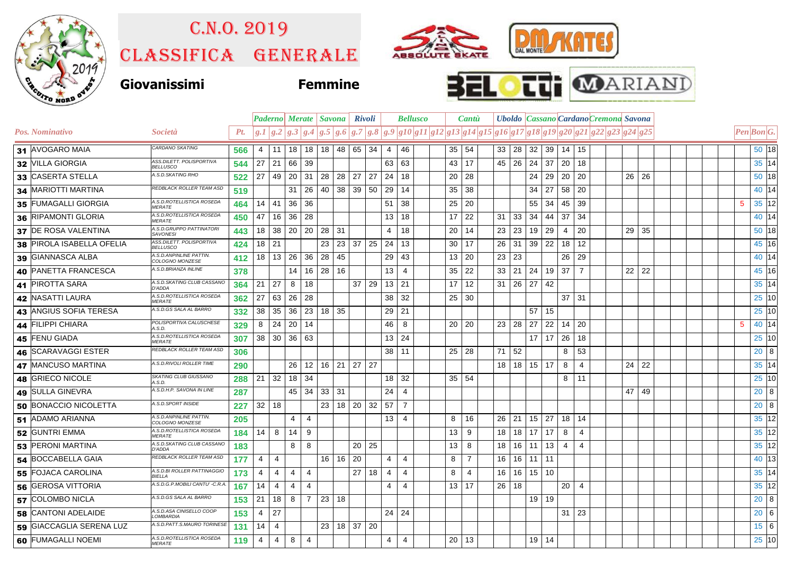

## C.n.o. 2019

Classifica generale







|                           |                                              |     |                 |                 |                 |                |                 | Paderno   Merate   Savona   Rivoli |                 |                   |              | <b>Bellusco</b> |    |              | Cantu          |                 |                             |          |                                | Uboldo Cassano Cardano Cremona Savona |                                                                                                       |  |         |    |  |   |                                                                         |              |
|---------------------------|----------------------------------------------|-----|-----------------|-----------------|-----------------|----------------|-----------------|------------------------------------|-----------------|-------------------|--------------|-----------------|----|--------------|----------------|-----------------|-----------------------------|----------|--------------------------------|---------------------------------------|-------------------------------------------------------------------------------------------------------|--|---------|----|--|---|-------------------------------------------------------------------------|--------------|
| <b>Pos. Nominativo</b>    | Società                                      | Pt. |                 |                 |                 |                |                 |                                    |                 |                   |              |                 |    |              |                |                 |                             |          |                                |                                       | $g.1 g.2 g.3 g.4 g.5 g.6 g.7 g.8 g.9 g10 g11 g12 g13 g14 g15 g16 g17 g18 g19 g20 g21 g22 g23 g24 g25$ |  |         |    |  |   | $\left  Pen\right $ <i>Bon</i> <sup><math>\left  G.\right </math></sup> |              |
| 31 AVOGARO MAIA           | CARDANO SKATING                              | 566 | 4               | 11              | 18 <sup>1</sup> |                |                 | 18   18   48   65   34             |                 |                   | 4            | 46              |    | 35   54      |                |                 | 33   28   32   39   14   15 |          |                                |                                       |                                                                                                       |  |         |    |  |   |                                                                         | 50 18        |
| 32 VILLA GIORGIA          | ASS.DILETT. POLISPORTIVA<br><b>BELLUSCO</b>  | 544 | 27              | 21              | 66              | 39             |                 |                                    |                 |                   | 63           | 63              | 43 |              | 17             | 45              | -26                         |          | $24 \mid 37$                   | 20                                    | 18                                                                                                    |  |         |    |  |   |                                                                         | 35 14        |
| 33 CASERTA STELLA         | A.S.D.SKATING RHO                            | 522 | 27              | 49              | 20              | 31             | 28              | 28                                 | 27              | 27                | 24           | 18              | 20 |              | 28             |                 |                             | 24       | 29                             | 20                                    | 20                                                                                                    |  | 26 26   |    |  |   |                                                                         | 50 18        |
| 34 MARIOTTI MARTINA       | REDBLACK ROLLER TEAM ASD                     | 519 |                 |                 | 31              | 26             | 40              | 38                                 |                 | $39$ 50           | 29           | 14              | 35 |              | 38             |                 |                             | 34       | 27                             | 58 20                                 |                                                                                                       |  |         |    |  |   |                                                                         | 40 14        |
| 35 FUMAGALLI GIORGIA      | A.S.D.ROTELLISTICA ROSEDA<br><b>MERATE</b>   | 464 | 14              | 41              | 36              | 36             |                 |                                    |                 |                   | 51           | 38              | 25 |              | 20             |                 |                             |          | 55 34                          | 45                                    | 39                                                                                                    |  |         |    |  | 5 |                                                                         | 35 12        |
| 36 RIPAMONTI GLORIA       | A.S.D.ROTELLISTICA ROSEDA<br><b>MERATE</b>   | 450 | 47              | 16              | 36              | 28             |                 |                                    |                 |                   | 13           | 18              | 17 |              | 22             | 31              | 33                          | 34       | 44                             | 37                                    | -34                                                                                                   |  |         |    |  |   |                                                                         | 40 14        |
| 37 DE ROSA VALENTINA      | A.S.D.GRUPPO PATTINATORI<br><b>SAVONESI</b>  | 443 | 18              | 38              |                 | 20 20          | $28$ 31         |                                    |                 |                   | 4            | 18              | 20 |              | 14             | 23              | 23                          | 19       | 29                             | 4                                     | 20                                                                                                    |  | 29      | 35 |  |   |                                                                         | 50 18        |
| 38 PIROLA ISABELLA OFELIA | ASS.DILETT. POLISPORTIVA<br><b>BELLUSCO</b>  | 424 | 18 <sup>1</sup> | 21              |                 |                | 23              | 23                                 |                 | $37 \mid 25 \mid$ | 24           | 13              | 30 |              | 17             | 26              | 31                          |          | $39 \mid 22$                   | 18                                    | 12                                                                                                    |  |         |    |  |   |                                                                         | 45 16        |
| 39 GIANNASCA ALBA         | A.S.D. ANPINLINE PATTIN.<br>COLOGNO MONZESE  | 412 | 18              | 13              | 26              | 36             | 28              | 45                                 |                 |                   | 29           | 43              | 13 |              | 20             | 23              | 23                          |          |                                | 26                                    | 29                                                                                                    |  |         |    |  |   |                                                                         | 40 14        |
| 40 PANETTA FRANCESCA      | A.S.D.BRIANZA INLINE                         | 378 |                 |                 | 14              | 16             | 28              | 16                                 |                 |                   | 13           | $\overline{4}$  | 35 |              | 22             | 33              | 21                          | 24       | 19                             | 37                                    | $\overline{7}$                                                                                        |  | $22$ 22 |    |  |   |                                                                         | 45 16        |
| 41 PIROTTA SARA           | A.S.D.SKATING CLUB CASSANO<br><b>D'ADDA</b>  | 364 | 21              | 27              | 8               | 18             |                 |                                    | $37 \mid 29$    |                   | 13 21        |                 | 17 |              | 12             | 31              |                             | 26 27    | 42                             |                                       |                                                                                                       |  |         |    |  |   |                                                                         | 35 14        |
| 42 NASATTI LAURA          | A.S.D.ROTELLISTICA ROSEDA<br><i>MERATE</i>   | 362 | 27              | 63              | 26              | 28             |                 |                                    |                 |                   | 38           | 32              | 25 |              | 30             |                 |                             |          |                                |                                       | $37$ 31                                                                                               |  |         |    |  |   |                                                                         | 25 10        |
| 43 ANGIUS SOFIA TERESA    | A.S.D.GS SALA AL BARRO                       | 332 | 38              | 35              | 36              | 23             | 18 35           |                                    |                 |                   | 29           | 21              |    |              |                |                 |                             | 57       | 15                             |                                       |                                                                                                       |  |         |    |  |   |                                                                         | 25 10        |
| 44 FILIPPI CHIARA         | POLISPORTIVA CALUSCHESE<br>4.S.D.            | 329 | 8               | 24              | 20              | 14             |                 |                                    |                 |                   | 46           | 8               | 20 |              | 20             | 23 <sup>1</sup> | 28                          | 27       | 22                             | 14                                    | 20                                                                                                    |  |         |    |  | 5 |                                                                         | 40 14        |
| 45 FENU GIADA             | A.S.D.ROTELLISTICA ROSEDA<br><b>MERATE</b>   | 307 | 38              | 30 <sup>1</sup> |                 | 36 63          |                 |                                    |                 |                   | $13 \mid 24$ |                 |    |              |                |                 |                             |          | $17 \overline{\phantom{0}}$ 17 | 26                                    | 18                                                                                                    |  |         |    |  |   |                                                                         | 25 10        |
| 46 SCARAVAGGI ESTER       | REDBLACK ROLLER TEAM ASD                     | 306 |                 |                 |                 |                |                 |                                    |                 |                   | 38           | 11              | 25 |              | 28             | 71              | 52                          |          |                                | 8                                     | 53                                                                                                    |  |         |    |  |   |                                                                         | $20 \vert 8$ |
| 47 MANCUSO MARTINA        | A.S.D.RIVOLI ROLLER TIME                     | 290 |                 |                 | 26              |                |                 | $12$   16   21   27   27           |                 |                   |              |                 |    |              |                | 18 <sup>1</sup> |                             |          | $18$ 15 17                     | 8                                     | $\overline{4}$                                                                                        |  | $24$ 22 |    |  |   |                                                                         | 35 14        |
| 48 GRIECO NICOLE          | SKATING CLUB GIUSSANO<br>A.S.D.              | 288 | 21              | 32              |                 | 18 34          |                 |                                    |                 |                   | 18           | 32              | 35 |              | 54             |                 |                             |          |                                | 8                                     | 11                                                                                                    |  |         |    |  |   |                                                                         | 25 10        |
| 49 SULLA GINEVRA          | A.S.D.H.P. SAVONA IN LINE                    | 287 |                 |                 | 45              | 34             | $33 \mid 31$    |                                    |                 |                   | 24           | $\overline{4}$  |    |              |                |                 |                             |          |                                |                                       |                                                                                                       |  | 47      | 49 |  |   |                                                                         | $20\quad8$   |
| 50 BONACCIO NICOLETTA     | A.S.D.SPORT INSIDE                           | 227 | 32              | 18              |                 |                | 23              | 18                                 | 20 <sub>1</sub> | 32                | 57           | $\overline{7}$  |    |              |                |                 |                             |          |                                |                                       |                                                                                                       |  |         |    |  |   |                                                                         | $20\quad8$   |
| 51 ADAMO ARIANNA          | A.S.D. ANPINLINE PATTIN.<br>COLOGNO MONZESE  | 205 |                 |                 | 4               | $\overline{4}$ |                 |                                    |                 |                   | 13           | $\overline{4}$  | 8  |              | 16             | 26              | 21                          |          | $15 \mid 27$                   | 18                                    | 14                                                                                                    |  |         |    |  |   |                                                                         | 35 12        |
| 52 GUNTRI EMMA            | A.S.D.ROTELLISTICA ROSEDA<br>MERATE          | 184 | 14              | 8               | 14              | 9              |                 |                                    |                 |                   |              |                 | 13 |              | 9              | 18              |                             |          | $18$ 17 17                     | 8                                     | $\overline{4}$                                                                                        |  |         |    |  |   |                                                                         | 35 12        |
| 53 PERONI MARTINA         | A.S.D. SKATING CLUB CASSANO<br><b>D'ADDA</b> | 183 |                 |                 | 8               | 8              |                 |                                    | $20 \mid 25$    |                   |              |                 | 13 |              | 8              | 18              |                             |          | $16$ 11 13                     | 4                                     | $\overline{4}$                                                                                        |  |         |    |  |   |                                                                         | 35 12        |
| 54 BOCCABELLA GAIA        | REDBLACK ROLLER TEAM ASD                     | 177 | 4               | 4               |                 |                | 16 I            | 16                                 | -20             |                   | 4            | $\overline{4}$  | 8  |              | $\overline{7}$ | 16              |                             | 16 11 11 |                                |                                       |                                                                                                       |  |         |    |  |   |                                                                         | 40 13        |
| 55 FOJACA CAROLINA        | A.S.D.BI ROLLER PATTINAGGIO<br><i>BIFLLA</i> | 173 | 4               | 4               | 4               | 4              |                 |                                    | 27              | 18                | 4            | $\overline{4}$  | 8  |              | 4              | 16              |                             |          | $16$   15   10                 |                                       |                                                                                                       |  |         |    |  |   |                                                                         | 35 14        |
| 56 GEROSA VITTORIA        | A.S.D.G.P.MOBILI CANTU' - C.R.A              | 167 | 14              | 4               | $\overline{4}$  | 4              |                 |                                    |                 |                   | 4            | $\overline{4}$  | 13 |              | 17             | 26              | 18                          |          |                                | 20                                    | $\overline{4}$                                                                                        |  |         |    |  |   |                                                                         | 35 12        |
| 57 COLOMBO NICLA          | A.S.D.GS SALA AL BARRO                       | 153 | 21              | 18              | 8               | $\overline{7}$ | 23              | 18                                 |                 |                   |              |                 |    |              |                |                 |                             |          | 19 19                          |                                       |                                                                                                       |  |         |    |  |   |                                                                         | $20\quad8$   |
| 58 CANTONI ADELAIDE       | A.S.D.ASA CINISELLO COOF<br>LOMBARDIA        | 153 | 4               | 27              |                 |                |                 |                                    |                 |                   | $24 \mid 24$ |                 |    |              |                |                 |                             |          |                                |                                       | $31 \mid 23$                                                                                          |  |         |    |  |   |                                                                         | $20\,$ 6     |
| 59 GIACCAGLIA SERENA LUZ  | A.S.D.PATT.S.MAURO TORINESE                  | 131 | 14              | 4               |                 |                | 23 <sup>1</sup> | 18 37 20                           |                 |                   |              |                 |    |              |                |                 |                             |          |                                |                                       |                                                                                                       |  |         |    |  |   |                                                                         | 15 6         |
| 60 FUMAGALLI NOEMI        | A.S.D.ROTELLISTICA ROSEDA<br><b>MERATE</b>   | 119 | 4               | 4               | 8               | 4              |                 |                                    |                 |                   | 4            | 4               |    | $20 \mid 13$ |                |                 |                             |          | $19$ 14                        |                                       |                                                                                                       |  |         |    |  |   |                                                                         | 25 10        |